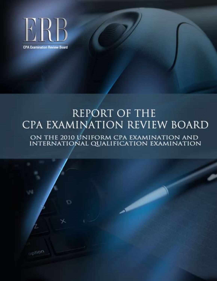

option

# **REPORT OF THE** CPA EXAMINATION REVIEW BOARD ON THE 2010 UNIFORM CPA EXAMINATION AND INTERNATIONAL QUALIFICATION EXAMINATION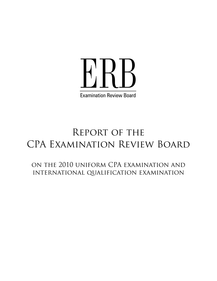

# Report of the CPA Examination Review Board

on the 2010 uniform CPA examination and international qualification examination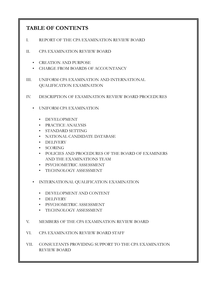#### **TABLE OF CONTENTS**

- I. REPORT OF THE CPA EXAMINATION REVIEW BOARD
- II. CPA EXAMINATION REVIEW BOARD
	- CREATION AND PURPOSE
	- CHARGE FROM BOARDS OF ACCOUNTANCY
- III. UNIFORM CPA EXAMINATION AND INTERNATIONAL QUALIFICATION EXAMINATION
- IV. DESCRIPTION OF EXAMINATION REVIEW BOARD PROCEDURES
	- UNIFORM CPA EXAMINATION
		- DEVELOPMENT
		- PRACTICE ANALYSIS
		- STANDARD SETTING
		- NATIONAL CANDIDATE DATABASE
		- DELIVERY
		- SCORING
		- POLICIES AND PROCEDURES OF THE BOARD OF EXAMINERS AND THE EXAMINATIONS TEAM
		- PSYCHOMETRIC ASSESSMENT
		- TECHNOLOGY ASSESSMENT
	- INTERNATIONAL QUALIFICATION EXAMINATION
		- DEVELOPMENT AND CONTENT
		- DELIVERY
		- PSYCHOMETRIC ASSESSMENT
		- TECHNOLOGY ASSESSMENT
- V. MEMBERS OF THE CPA EXAMINATION REVIEW BOARD
- VI. CPA EXAMINATION REVIEW BOARD STAFF
- VII. CONSULTANTS PROVIDING SUPPORT TO THE CPA EXAMINATION REVIEW BOARD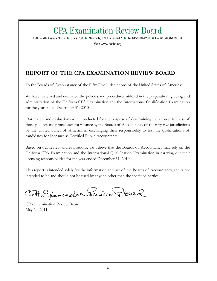# CPA Examination Review Board

150 Fourth Avenue North  $\bullet$  Suite 700  $\bullet$  Nashville, TN 37219-2417  $\bullet$  Tel 615/880-4200  $\bullet$  Fax 615/880-4290  $\bullet$ 

Web www.nasba.org

#### **REPORT OF THE CPA EXAMINATION REVIEW BOARD**

To the Boards of Accountancy of the Fifty-Five Jurisdictions of the United States of America:

We have reviewed and evaluated the policies and procedures utilized in the preparation, grading and administration of the Uniform CPA Examination and the International Qualification Examination for the year ended December 31, 2010.

Our review and evaluations were conducted for the purpose of determining the appropriateness of those policies and procedures for reliance by the Boards of Accountancy of the fifty-five jurisdictions of the United States of America in discharging their responsibility to test the qualifications of candidates for licensure as Certified Public Accountants.

Based on our review and evaluations, we believe that the Boards of Accountancy may rely on the Uniform CPA Examination and the International Qualification Examination in carrying out their licensing responsibilities for the year ended December 31, 2010.

This report is intended solely for the information and use of the Boards of Accountancy, and is not intended to be and should not be used by anyone other than the specified parties.

CAP Exercication Review Board

CPA Examination Review Board May 24, 2011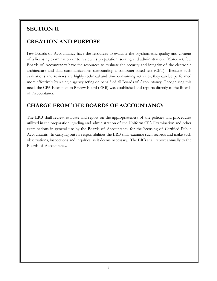# **SECTION II**

#### **CREATION AND PURPOSE**

Few Boards of Accountancy have the resources to evaluate the psychometric quality and content of a licensing examination or to review its preparation, scoring and administration. Moreover, few Boards of Accountancy have the resources to evaluate the security and integrity of the electronic architecture and data communications surrounding a computer-based test (CBT). Because such evaluations and reviews are highly technical and time consuming activities, they can be performed more effectively by a single agency acting on behalf of all Boards of Accountancy. Recognizing this need, the CPA Examination Review Board (ERB) was established and reports directly to the Boards of Accountancy.

#### **CHARGE FROM THE BOARDS OF ACCOUNTANCY**

The ERB shall review, evaluate and report on the appropriateness of the policies and procedures utilized in the preparation, grading and administration of the Uniform CPA Examination and other examinations in general use by the Boards of Accountancy for the licensing of Certified Public Accountants. In carrying out its responsibilities the ERB shall examine such records and make such observations, inspections and inquiries, as it deems necessary. The ERB shall report annually to the Boards of Accountancy.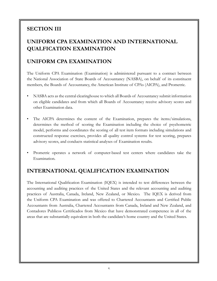# **SECTION III**

# **UNIFORM CPA EXAMINATION AND INTERNATIONAL QUALFICATION EXAMINATION**

#### **UNIFORM CPA EXAMINATION**

The Uniform CPA Examination (Examination) is administered pursuant to a contract between the National Association of State Boards of Accountancy (NASBA), on behalf of its constituent members, the Boards of Accountancy, the American Institute of CPAs (AICPA), and Prometric.

- NASBA acts as the central clearinghouse to which all Boards of Accountancy submit information on eligible candidates and from which all Boards of Accountancy receive advisory scores and other Examination data.
- The AICPA determines the content of the Examination, prepares the items/simulations, determines the method of scoring the Examination including the choice of psychometric model, performs and coordinates the scoring of all test item formats including simulations and constructed response exercises, provides all quality control systems for test scoring, prepares advisory scores, and conducts statistical analyses of Examination results.
- Prometric operates a network of computer-based test centers where candidates take the Examination.

#### **INTERNATIONAL QUALIFICATION EXAMINATION**

The International Qualification Examination (IQEX) is intended to test differences between the accounting and auditing practices of the United States and the relevant accounting and auditing practices of Australia, Canada, Ireland, New Zealand, or Mexico. The IQEX is derived from the Uniform CPA Examination and was offered to Chartered Accountants and Certified Public Accountants from Australia, Chartered Accountants from Canada, Ireland and New Zealand, and Contadores Publicos Certificados from Mexico that have demonstrated competence in all of the areas that are substantially equivalent in both the candidate's home country and the United States.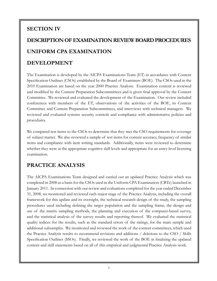# **SECTION IV**

# **DESCRIPTION OF EXAMINATION REVIEW BOARD PROCEDURES UNIFORM CPA EXAMINATION**

#### **DEVELOPMENT**

The Examination is developed by the AICPA Examinations Team (ET) in accordance with Content Specification Outlines (CSOs) established by the Board of Examiners (BOE). The CSOs used in the 2010 Examination are based on the year 2000 Practice Analysis. Examination content is reviewed and modified by the Content Preparation Subcommittees and is given final approval by the Content Committee. We reviewed and evaluated the development of the Examination. Our review included conferences with members of the ET, observations of the activities of the BOE, its Content Committee and Content Preparation Subcommittees, and interviews with technical managers. We reviewed and evaluated systems security controls and compliance with administrative policies and procedures.

We compared test items to the CSOs to determine that they met the CSO requirements for coverage of subject matter. We also reviewed a sample of test items for content accuracy, frequency of similar items and compliance with item writing standards. Additionally, items were reviewed to determine whether they were at the appropriate cognitive skill levels and appropriate for an entry-level licensing examination.

#### **PRACTICE ANALYSIS**

The AICPA Examinations Team designed and carried out an updated Practice Analysis which was completed in 2008 as a basis for the CSOs used in the Uniform CPA Examination (CBTe) launched in January 2011. In connection with our review and evaluations completed for the year ended December 31, 2008, we monitored and reviewed each major stage of the Practice Analysis, including the overall framework for this update and its oversight, the technical research design of the study, the sampling procedures used including defining the target population and the sampling frame, the design and use of the matrix sampling methods, the planning and execution of the computer-based survey, and the statistical analysis of the survey results and reporting thereof. We evaluated the statistical quality indices for the results, such as the standard errors of the ratings, for the main sample and additional subsamples. We monitored and reviewed the work of the content committees, which used the Practice Analysis results to recommend revisions and additions / deletions to the CSO / Skills Specification Outlines (SSOs). Finally, we reviewed the work of the BOE in finalizing the updated content and skill statements based on all of this empirical and judgmental Practice Analysis work.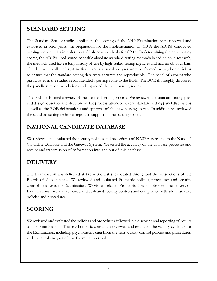#### **STANDARD SETTING**

The Standard Setting studies applied in the scoring of the 2010 Examination were reviewed and evaluated in prior years. In preparation for the implementation of CBTe the AICPA conducted passing score studies in order to establish new standards for CBTe. In determining the new passing scores, the AICPA used sound scientific absolute-standard setting methods based on solid research; the methods used have a long history of use by high-stakes testing agencies and had no obvious bias. The data were collected systematically and statistical analyses were performed by psychometricians to ensure that the standard-setting data were accurate and reproducible. The panel of experts who participated in the studies recommended a passing score to the BOE. The BOE thoroughly discussed the panelists' recommendations and approved the new passing scores.

The ERB performed a review of the standard setting process. We reviewed the standard setting plan and design, observed the structure of the process, attended several standard setting panel discussions as well as the BOE deliberations and approval of the new passing scores. In addition we reviewed the standard setting technical report in support of the passing scores.

#### **NATIONAL CANDIDATE DATABASE**

We reviewed and evaluated the security policies and procedures of NASBA as related to the National Candidate Database and the Gateway System. We tested the accuracy of the database processes and receipt and transmission of information into and out of this database.

# **DELIVERY**

The Examination was delivered at Prometric test sites located throughout the jurisdictions of the Boards of Accountancy. We reviewed and evaluated Prometric policies, procedures and security controls relative to the Examination. We visited selected Prometric sites and observed the delivery of Examinations. We also reviewed and evaluated security controls and compliance with administrative policies and procedures.

# **SCORING**

We reviewed and evaluated the policies and procedures followed in the scoring and reporting of results of the Examination. The psychometric consultant reviewed and evaluated the validity evidence for the Examination, including psychometric data from the tests, quality control policies and procedures, and statistical analyses of the Examination results.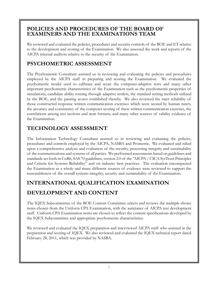#### **POLICIES AND PROCEDURES OF THE BOARD OF EXAMINERS AND THE EXAMINATIONS TEAM**

We reviewed and evaluated the policies, procedures and security controls of the BOE and ET relative to the development and scoring of the Examination. We also assessed the work and reports of the AICPA internal auditors relative to the security of the Examination.

#### **PSYCHOMETRIC ASSESSMENT**

The Psychometric Consultant assisted us in reviewing and evaluating the policies and procedures employed by the AICPA staff in preparing and scoring the Examination. We evaluated the psychometric model used to calibrate and score the computer-adaptive tests and many other important psychometric characteristics of the Examination such as the psychometric properties of simulations, candidate ability routing through adaptive testlets, the standard setting methods utilized by the BOE, and the passing scores established thereby. We also reviewed the rater reliability of those constructed response written communication exercises which were scored by human raters, the accuracy and consistency of the computer scoring of these written communication exercises, the correlations among test sections and item formats, and many other sources of validity evidence of the Examination.

# **TECHNOLOGY ASSESSMENT**

The Information Technology Consultant assisted us in reviewing and evaluating the policies, procedures and controls employed by the AICPA, NASBA and Prometric. We evaluated and relied upon a comprehensive analysis and evaluation of the security, processing integrity and sustainability of the communications and systems of all parties. We performed assessments based on guidelines and standards set forth in CoBit, SAS 70 guidelines, version 2.0 of the "AICPA / CICA SysTrust Principles and Criteria for Systems Reliability" and on industry best practices. The evaluation encompassed the Examination as a whole and many different sources of evidence were reviewed to support the reasonableness of the overall systems integrity, security and sustainability of the Examination.

# **INTERNATIONAL QUALIFICATION EXAMINATION DEVELOPMENT AND CONTENT**

The IQEX Subcommittee of the BOE Content Committee selects and reviews the multiple-choice items chosen from the Uniform CPA Examination, with the assistance of AICPA test development staff. Uniform CPA Examination items are chosen to reflect the content specifications developed by the IQEX Subcommittee and appropriate psychometric characteristics.

We reviewed and evaluated the IQEX preparation and interviewed AICPA staff who assisted in the preparation and scoring of IQEX. We also reviewed and evaluated the IQEX technical report dated February 28, 2011, which was provided by NASBA.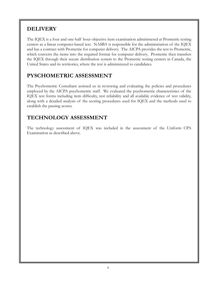# **DELIVERY**

The IQEX is a four and one-half hour objective item examination administered at Prometric testing centers as a linear computer-based test. NASBA is responsible for the administration of the IQEX and has a contract with Prometric for computer delivery. The AICPA provides the test to Prometric, which converts the items into the required format for computer delivery. Prometric then transfers the IQEX through their secure distribution system to the Prometric testing centers in Canada, the United States and its territories, where the test is administered to candidates.

# **PYSCHOMETRIC ASSESSMENT**

The Psychometric Consultant assisted us in reviewing and evaluating the policies and procedures employed by the AICPA psychometric staff. We evaluated the psychometric characteristics of the IQEX test forms including item difficulty, test reliability and all available evidence of test validity, along with a detailed analysis of the scoring procedures used for IQEX and the methods used to establish the passing scores.

# **TECHNOLOGY ASSESSMENT**

The technology assessment of IQEX was included in the assessment of the Uniform CPA Examination as described above.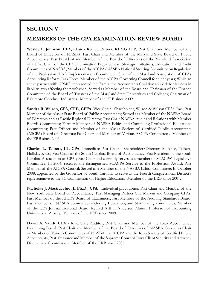#### **SECTION V**

#### **MEMBERS OF THE CPA EXAMINATION REVIEW BOARD**

**Wesley P. Johnson, CPA**, Chair - Retired Partner, KPMG LLP; Past Chair and Member of the Board of Directors of NASBA; Past Chair and Member of the Maryland State Board of Public Accountancy; Past President and Member of the Board of Directors of the Maryland Association of CPAs; Chair of the CPA Examination Preparedness, Strategic Initiatives, Education, and Audit Committees of NASBA; Member of the AICPA/NASBA National Steering Committee on Regulation of the Profession (UAA Implementation Committee); Chair of the Maryland Association of CPAs Accounting Reform Task Force; Member of the AICPA Governing Council for eight years; While an active partner with KPMG, represented the Firm at the Accountants Coalition to work for fairness in liability laws affecting the profession; Served as Member of the Board and Chairman of the Finance Committee of the Board of Trustees of the Maryland State Universities and Colleges; Chairman of Baltimore Goodwill Industries. Member of the ERB since 2009.

**Sandra R. Wilson, CPA, CFE, CFFA**, Vice Chair - Shareholder, Wilson & Wilson CPAs, Inc.; Past Member of the Alaska State Board of Public Accountancy; Served as a Member of the NASBA Board of Directors and as Pacific Regional Director; Past Chair NASBA Audit and Relations with Member Boards Committees; Former Member of NASBA Ethics and Continuing Professional Educations Committees; Past Officer and Member of the Alaska Society of Certified Public Accountants (ASCPA) Board of Directors; Past Chair and Member of Various ASCPA Committees. Member of the ERB since 2006.

**Charles L. Talbert, III, CPA**, Immediate Past Chair - Shareholder/Director, McAbee, Talbert, Halliday & Co; Past Chair of the South Carolina Board of Accountancy; Past President of the South Carolina Association of CPAs; Past Chair and currently serves as a member of SCACPA's Legislative Committee; In 2004, received the distinguished SCACPA Service to the Profession Award; Past Member of the AICPA Council; Served as a Member of the NASBA Ethics Committee; In October 2008, appointed by the Governor of South Carolina to serve as the Fourth Congressional District's representative to the SC Commission on Higher Education. Member of the ERB since 2007.

**Nicholas J. Mastracchio, Jr Ph.D., CPA** - Individual practitioner; Past Chair and Member of the New York State Board of Accountancy; Past Managing Partner C.L. Marvin and Company CPAs; Past Member of the AICPA Board of Examiners; Past Member of the Auditing Standards Board; Past member of NASBA committees including Education, and Nominating committees; Member of the CPA Journal Editorial Board; Retired Arthur Andersen Alumni Professor of Accounting University at Albany. Member of the ERB since 2009.

**David A. Vaudt, CPA** - Iowa State Auditor; Past Chair and Member of the Iowa Accountancy Examining Board; Past Chair and Member of the Board of Directors of NASBA; Served as Chair or Member of Various Committees of NASBA, the AICPA and the Iowa Society of Certified Public Accountants; Past Treasurer and Member of the Supreme Court of Iowa Client Security and Attorney Disciplinary Commission. Member of the ERB since 2005.